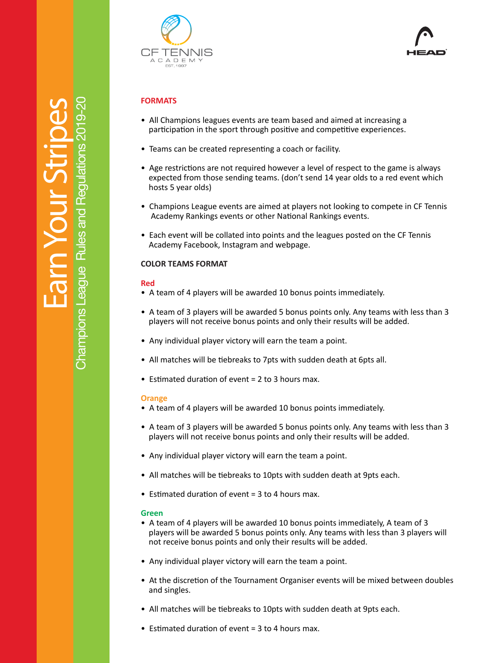

# **FORMATS**

- All Champions leagues events are team based and aimed at increasing a participation in the sport through positive and competitive experiences.
- Teams can be created representing a coach or facility.
- Age restrictions are not required however a level of respect to the game is always expected from those sending teams. (don't send 14 year olds to a red event which hosts 5 year olds)
- Champions League events are aimed at players not looking to compete in CF Tennis Academy Rankings events or other National Rankings events.
- Each event will be collated into points and the leagues posted on the CF Tennis Academy Facebook, Instagram and webpage.

## **COLOR TEAMS FORMAT**

#### **Red**

- A team of 4 players will be awarded 10 bonus points immediately.
- A team of 3 players will be awarded 5 bonus points only. Any teams with less than 3 players will not receive bonus points and only their results will be added.
- Any individual player victory will earn the team a point.
- All matches will be tiebreaks to 7pts with sudden death at 6pts all.
- Estimated duration of event  $= 2$  to 3 hours max.

#### **Orange**

- A team of 4 players will be awarded 10 bonus points immediately.
- A team of 3 players will be awarded 5 bonus points only. Any teams with less than 3 players will not receive bonus points and only their results will be added.
- Any individual player victory will earn the team a point.
- All matches will be tiebreaks to 10pts with sudden death at 9pts each.
- Estimated duration of event  $= 3$  to 4 hours max.

#### **Green**

- A team of 4 players will be awarded 10 bonus points immediately, A team of 3 players will be awarded 5 bonus points only. Any teams with less than 3 players will not receive bonus points and only their results will be added.
- Any individual player victory will earn the team a point.
- At the discretion of the Tournament Organiser events will be mixed between doubles and singles.
- All matches will be tiebreaks to 10pts with sudden death at 9pts each.
- Estimated duration of event  $= 3$  to 4 hours max.